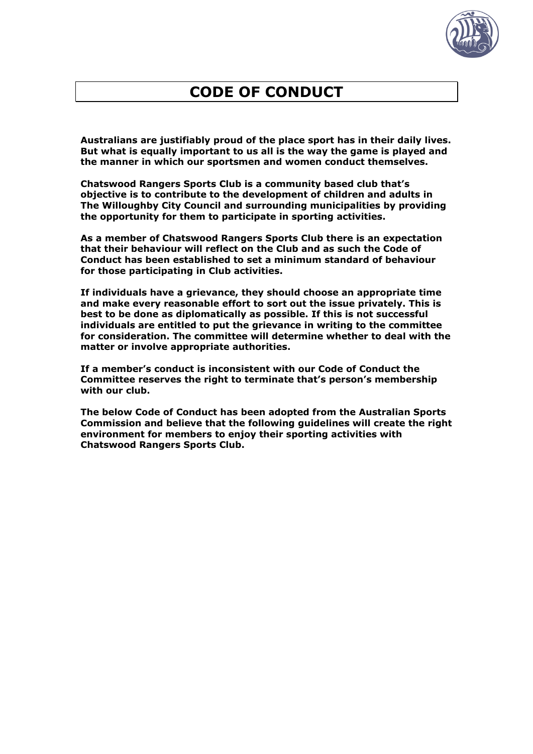

# **CODE OF CONDUCT**

**Australians are justifiably proud of the place sport has in their daily lives. But what is equally important to us all is the way the game is played and the manner in which our sportsmen and women conduct themselves.**

**Chatswood Rangers Sports Club is a community based club that's objective is to contribute to the development of children and adults in The Willoughby City Council and surrounding municipalities by providing the opportunity for them to participate in sporting activities.**

**As a member of Chatswood Rangers Sports Club there is an expectation that their behaviour will reflect on the Club and as such the Code of Conduct has been established to set a minimum standard of behaviour for those participating in Club activities.**

**If individuals have a grievance, they should choose an appropriate time and make every reasonable effort to sort out the issue privately. This is best to be done as diplomatically as possible. If this is not successful individuals are entitled to put the grievance in writing to the committee for consideration. The committee will determine whether to deal with the matter or involve appropriate authorities.**

**If a member's conduct is inconsistent with our Code of Conduct the Committee reserves the right to terminate that's person's membership with our club.**

**The below Code of Conduct has been adopted from the Australian Sports Commission and believe that the following guidelines will create the right environment for members to enjoy their sporting activities with Chatswood Rangers Sports Club.**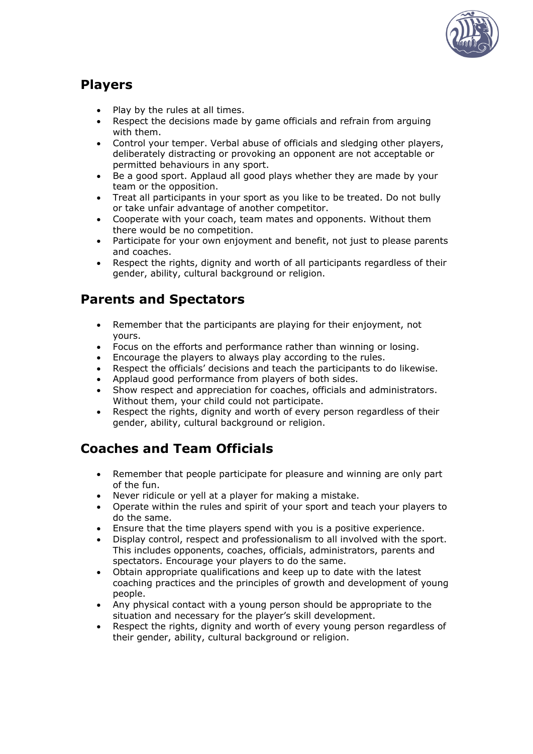

#### **Players**

- Play by the rules at all times.
- Respect the decisions made by game officials and refrain from arguing with them.
- Control your temper. Verbal abuse of officials and sledging other players, deliberately distracting or provoking an opponent are not acceptable or permitted behaviours in any sport.
- Be a good sport. Applaud all good plays whether they are made by your team or the opposition.
- Treat all participants in your sport as you like to be treated. Do not bully or take unfair advantage of another competitor.
- Cooperate with your coach, team mates and opponents. Without them there would be no competition.
- Participate for your own enjoyment and benefit, not just to please parents and coaches.
- Respect the rights, dignity and worth of all participants regardless of their gender, ability, cultural background or religion.

## **Parents and Spectators**

- Remember that the participants are playing for their enjoyment, not yours.
- Focus on the efforts and performance rather than winning or losing.
- Encourage the players to always play according to the rules.
- Respect the officials' decisions and teach the participants to do likewise.
- Applaud good performance from players of both sides.
- Show respect and appreciation for coaches, officials and administrators. Without them, your child could not participate.
- Respect the rights, dignity and worth of every person regardless of their gender, ability, cultural background or religion.

## **Coaches and Team Officials**

- Remember that people participate for pleasure and winning are only part of the fun.
- Never ridicule or yell at a player for making a mistake.
- Operate within the rules and spirit of your sport and teach your players to do the same.
- Ensure that the time players spend with you is a positive experience.
- Display control, respect and professionalism to all involved with the sport. This includes opponents, coaches, officials, administrators, parents and spectators. Encourage your players to do the same.
- Obtain appropriate qualifications and keep up to date with the latest coaching practices and the principles of growth and development of young people.
- Any physical contact with a young person should be appropriate to the situation and necessary for the player's skill development.
- Respect the rights, dignity and worth of every young person regardless of their gender, ability, cultural background or religion.